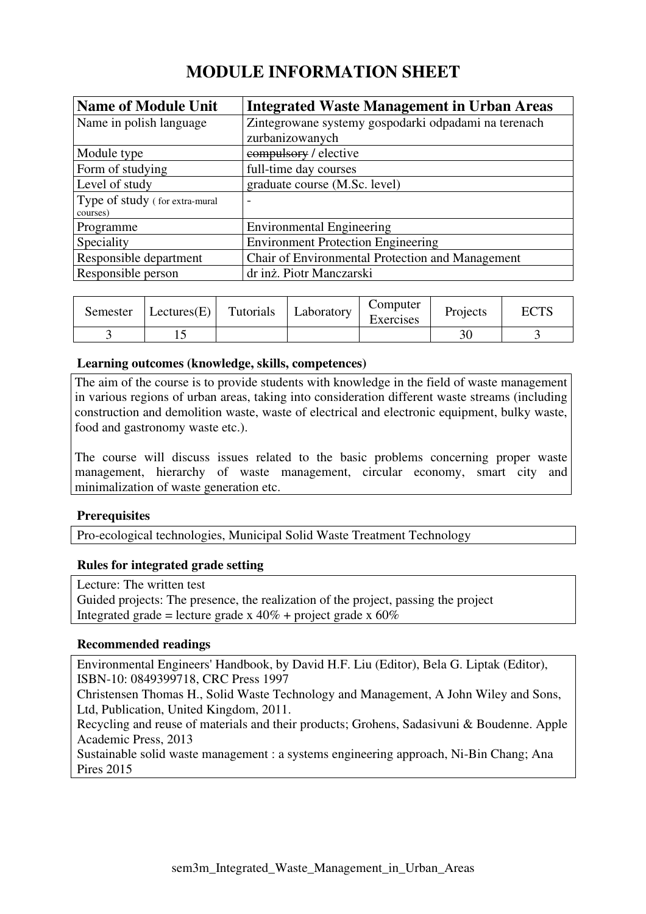# **MODULE INFORMATION SHEET**

| <b>Name of Module Unit</b>     | <b>Integrated Waste Management in Urban Areas</b>    |
|--------------------------------|------------------------------------------------------|
| Name in polish language        | Zintegrowane systemy gospodarki odpadami na terenach |
|                                | zurbanizowanych                                      |
| Module type                    | compulsory / elective                                |
| Form of studying               | full-time day courses                                |
| Level of study                 | graduate course (M.Sc. level)                        |
| Type of study (for extra-mural |                                                      |
| courses)                       |                                                      |
| Programme                      | <b>Environmental Engineering</b>                     |
| Speciality                     | <b>Environment Protection Engineering</b>            |
| Responsible department         | Chair of Environmental Protection and Management     |
| Responsible person             | dr inż. Piotr Manczarski                             |

| Semester | Lectures $(E)$ | Tutorials | Laboratory | Computer<br>Exercises | Projects | <b>ECTS</b> |
|----------|----------------|-----------|------------|-----------------------|----------|-------------|
|          |                |           |            |                       |          |             |

### **Learning outcomes (knowledge, skills, competences)**

The aim of the course is to provide students with knowledge in the field of waste management in various regions of urban areas, taking into consideration different waste streams (including construction and demolition waste, waste of electrical and electronic equipment, bulky waste, food and gastronomy waste etc.).

The course will discuss issues related to the basic problems concerning proper waste management, hierarchy of waste management, circular economy, smart city and minimalization of waste generation etc.

## **Prerequisites**

Pro-ecological technologies, Municipal Solid Waste Treatment Technology

#### **Rules for integrated grade setting**

Lecture: The written test Guided projects: The presence, the realization of the project, passing the project Integrated grade = lecture grade x  $40\%$  + project grade x  $60\%$ 

#### **Recommended readings**

Environmental Engineers' Handbook, by David H.F. Liu (Editor), Bela G. Liptak (Editor), ISBN-10: 0849399718, CRC Press 1997

Christensen Thomas H., Solid Waste Technology and Management, A John Wiley and Sons, Ltd, Publication, United Kingdom, 2011.

Recycling and reuse of materials and their products; Grohens, Sadasivuni & Boudenne. Apple Academic Press, 2013

Sustainable solid waste management : a systems engineering approach, Ni-Bin Chang; Ana Pires 2015